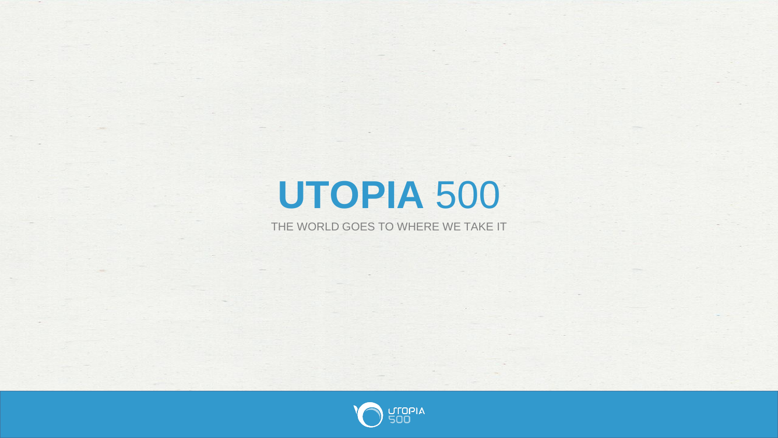# **UTOPIA** 500

THE WORLD GOES TO WHERE WE TAKE IT

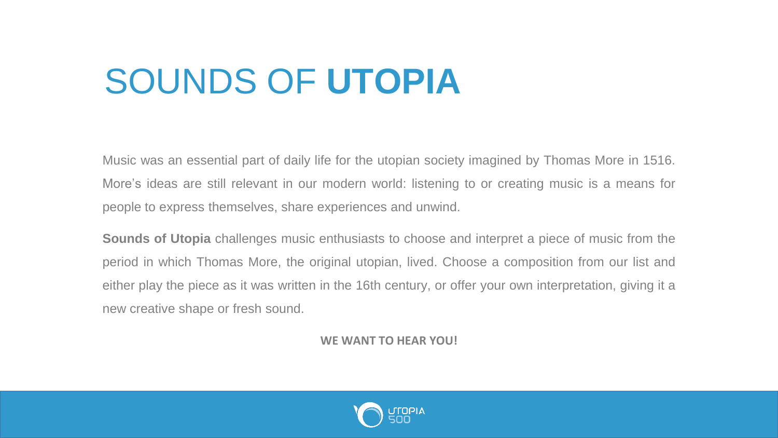## SOUNDS OF **UTOPIA**

Music was an essential part of daily life for the utopian society imagined by Thomas More in 1516. More's ideas are still relevant in our modern world: listening to or creating music is a means for people to express themselves, share experiences and unwind.

**Sounds of Utopia** challenges music enthusiasts to choose and interpret a piece of music from the period in which Thomas More, the original utopian, lived. Choose a composition from our list and either play the piece as it was written in the 16th century, or offer your own interpretation, giving it a new creative shape or fresh sound.

**WE WANT TO HEAR YOU!**

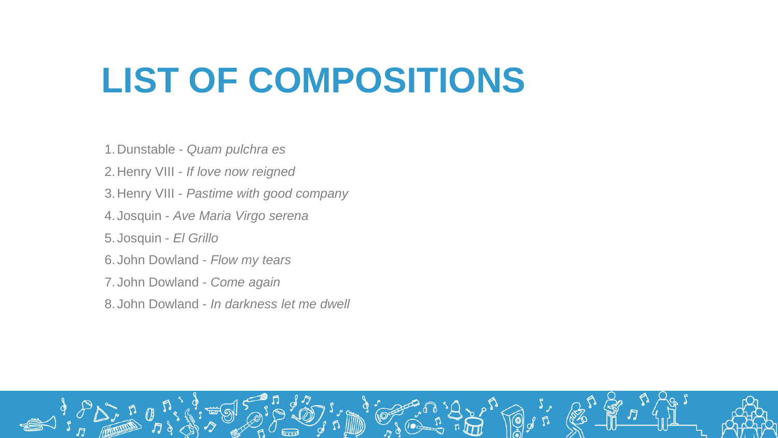## **LIST OF COMPOSITIONS**

1.Dunstable - *Quam pulchra es*

2.Henry VIII - *If love now reigned*

- 3.Henry VIII *Pastime with good company*
- 4. Josquin *Ave Maria Virgo serena*
- 5. Josquin *El Grillo*
- 6. John Dowland *Flow my tears*
- 7. John Dowland *Come again*
- 8. John Dowland *In darkness let me dwell*

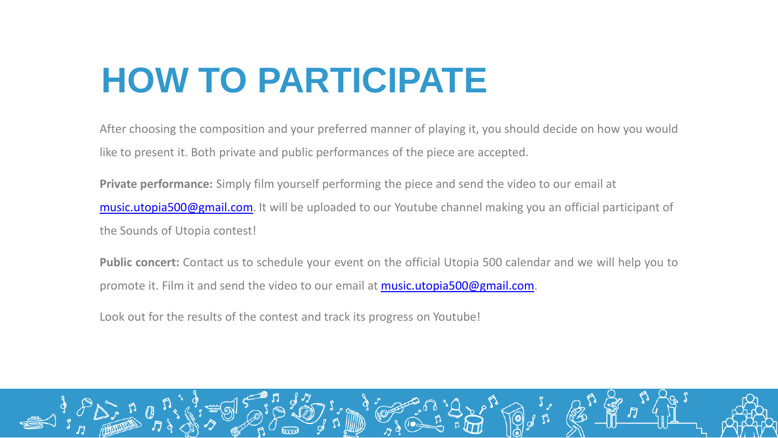### **HOW TO PARTICIPATE**

After choosing the composition and your preferred manner of playing it, you should decide on how you would like to present it. Both private and public performances of the piece are accepted.

**Private performance:** Simply film yourself performing the piece and send the video to our email at [music.utopia500@gmail.com](mailto:music.utopia500@gmail.com). It will be uploaded to our Youtube channel making you an official participant of the Sounds of Utopia contest!

**Public concert:** Contact us to schedule your event on the official Utopia 500 calendar and we will help you to promote it. Film it and send the video to our email at [music.utopia500@gmail.com](mailto:music.utopia500@gmail.com).

Look out for the results of the contest and track its progress on Youtube!

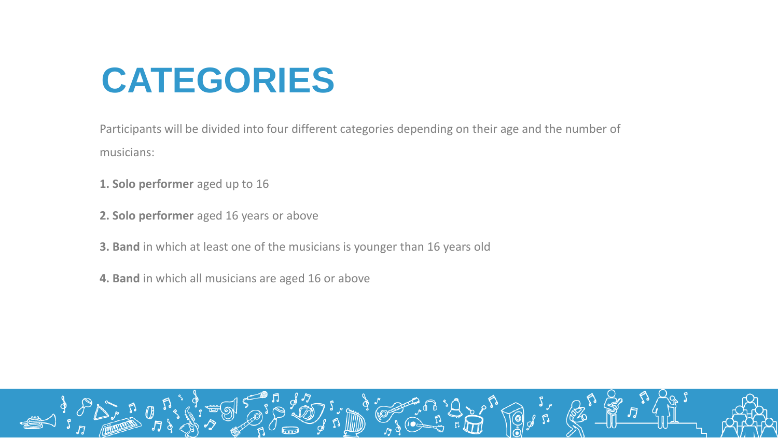#### **CATEGORIES**

Participants will be divided into four different categories depending on their age and the number of musicians:

- **1. Solo performer** aged up to 16
- **2. Solo performer** aged 16 years or above
- **3. Band** in which at least one of the musicians is younger than 16 years old
- **4. Band** in which all musicians are aged 16 or above

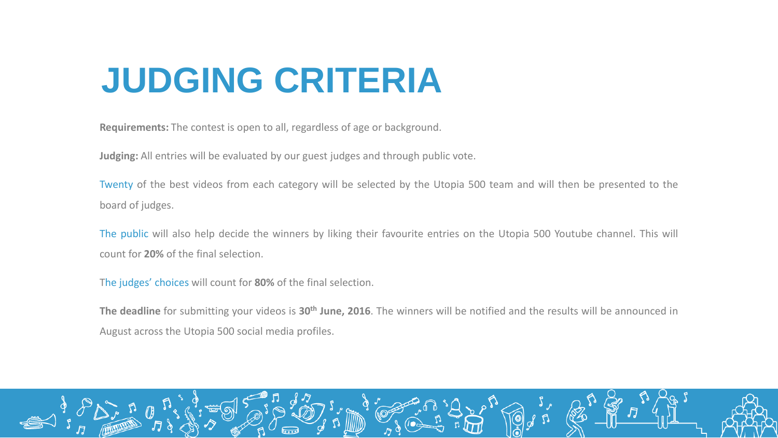#### **JUDGING CRITERIA**

**Requirements:** The contest is open to all, regardless of age or background.

**Judging:** All entries will be evaluated by our guest judges and through public vote.

Twenty of the best videos from each category will be selected by the Utopia 500 team and will then be presented to the board of judges.

The public will also help decide the winners by liking their favourite entries on the Utopia 500 Youtube channel. This will count for **20%** of the final selection.

The judges' choices will count for **80%** of the final selection.

**The deadline** for submitting your videos is **30th June, 2016**. The winners will be notified and the results will be announced in August across the Utopia 500 social media profiles.

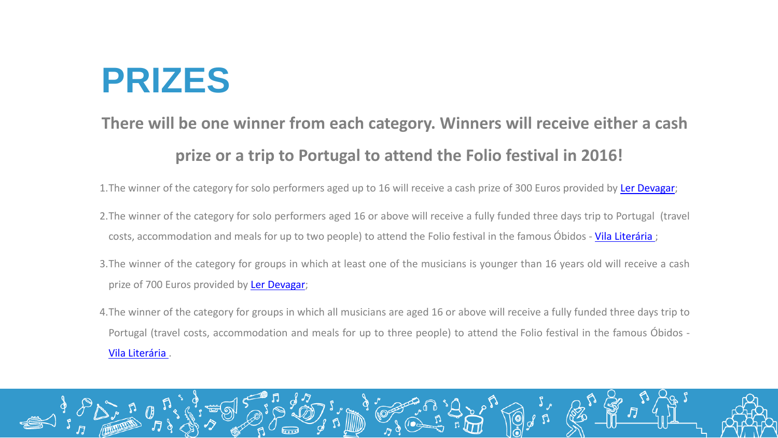#### **PRIZES**

#### **There will be one winner from each category. Winners will receive either a cash prize or a trip to Portugal to attend the Folio festival in 2016!**

1. The winner of the category for solo performers aged up to 16 will receive a cash prize of 300 Euros provided by [Ler](http://lerdevagar.com/) [Devagar;](http://lerdevagar.com/)

- 2.The winner of the category for solo performers aged 16 or above will receive a fully funded three days trip to Portugal (travel costs, accommodation and meals for up to two people) to attend the Folio festival in the famous Óbidos - [Vila](http://www.visitcentrodeportugal.com.pt/obidos-literary-town/) [Literária](http://www.visitcentrodeportugal.com.pt/obidos-literary-town/);
- 3.The winner of the category for groups in which at least one of the musicians is younger than 16 years old will receive a cash prize of 700 Euros provided by [Ler](http://lerdevagar.com/) [Devagar;](http://lerdevagar.com/)
- 4.The winner of the category for groups in which all musicians are aged 16 or above will receive a fully funded three days trip to Portugal (travel costs, accommodation and meals for up to three people) to attend the Folio festival in the famous Óbidos - [Vila](http://www.visitcentrodeportugal.com.pt/obidos-literary-town/) [Literária](http://www.visitcentrodeportugal.com.pt/obidos-literary-town/) .

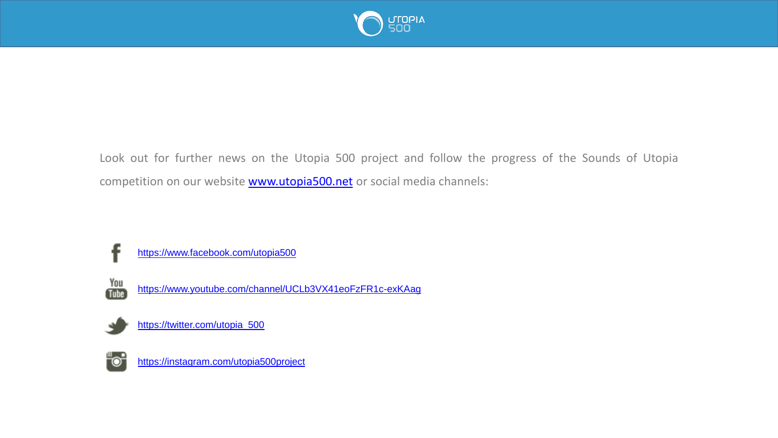

Look out for further news on the Utopia 500 project and follow the progress of the Sounds of Utopia competition on our website **[www.utopia500.net](http://www.utopia500.net/)** or social media channels:







<https://www.youtube.com/channel/UCLb3VX41eoFzFR1c-exKAag>



[https://twitter.com/utopia\\_500](https://twitter.com/utopia_500)



<https://instagram.com/utopia500project>